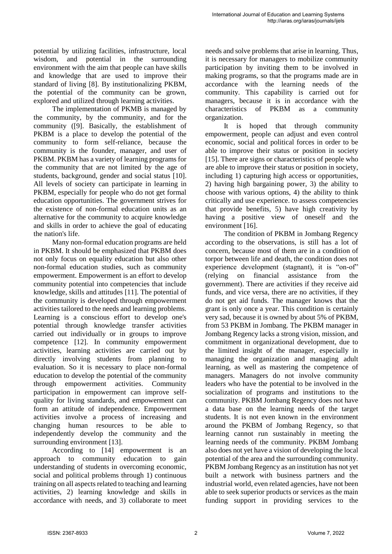potential by utilizing facilities, infrastructure, local wisdom, and potential in the surrounding environment with the aim that people can have skills and knowledge that are used to improve their standard of living [8]. By institutionalizing PKBM, the potential of the community can be grown, explored and utilized through learning activities.

The implementation of PKMB is managed by the community, by the community, and for the community ([9]. Basically, the establishment of PKBM is a place to develop the potential of the community to form self-reliance, because the community is the founder, manager, and user of PKBM. PKBM has a variety of learning programs for the community that are not limited by the age of students, background, gender and social status [10]. All levels of society can participate in learning in PKBM, especially for people who do not get formal education opportunities. The government strives for the existence of non-formal education units as an alternative for the community to acquire knowledge and skills in order to achieve the goal of educating the nation's life.

Many non-formal education programs are held in PKBM. It should be emphasized that PKBM does not only focus on equality education but also other non-formal education studies, such as community empowerment. Empowerment is an effort to develop community potential into competencies that include knowledge, skills and attitudes [11]. The potential of the community is developed through empowerment activities tailored to the needs and learning problems. Learning is a conscious effort to develop one's potential through knowledge transfer activities carried out individually or in groups to improve competence [12]. In community empowerment activities, learning activities are carried out by directly involving students from planning to evaluation. So it is necessary to place non-formal education to develop the potential of the community through empowerment activities. Community participation in empowerment can improve selfquality for living standards, and empowerment can form an attitude of independence. Empowerment activities involve a process of increasing and changing human resources to be able to independently develop the community and the surrounding environment [13].

According to [14] empowerment is an approach to community education to gain understanding of students in overcoming economic, social and political problems through 1) continuous training on all aspects related to teaching and learning activities, 2) learning knowledge and skills in accordance with needs, and 3) collaborate to meet needs and solve problems that arise in learning. Thus, it is necessary for managers to mobilize community participation by inviting them to be involved in making programs, so that the programs made are in accordance with the learning needs of the community. This capability is carried out for managers, because it is in accordance with the characteristics of PKBM as a community organization.

It is hoped that through community empowerment, people can adjust and even control economic, social and political forces in order to be able to improve their status or position in society [15]. There are signs or characteristics of people who are able to improve their status or position in society, including 1) capturing high access or opportunities, 2) having high bargaining power, 3) the ability to choose with various options, 4) the ability to think critically and use experience. to assess competencies that provide benefits, 5) have high creativity by having a positive view of oneself and the environment [16].

The condition of PKBM in Jombang Regency according to the observations, is still has a lot of concern, because most of them are in a condition of torpor between life and death, the condition does not experience development (stagnant), it is "on-of" (relying on financial assistance from the government). There are activities if they receive aid funds, and vice versa, there are no activities, if they do not get aid funds. The manager knows that the grant is only once a year. This condition is certainly very sad, because it is owned by about 5% of PKBM, from 53 PKBM in Jombang. The PKBM manager in Jombang Regency lacks a strong vision, mission, and commitment in organizational development, due to the limited insight of the manager, especially in managing the organization and managing adult learning, as well as mastering the competence of managers. Managers do not involve community leaders who have the potential to be involved in the socialization of programs and institutions to the community. PKBM Jombang Regency does not have a data base on the learning needs of the target students. It is not even known in the environment around the PKBM of Jombang Regency, so that learning cannot run sustainably in meeting the learning needs of the community. PKBM Jombang also does not yet have a vision of developing the local potential of the area and the surrounding community. PKBM Jombang Regency as an institution has not yet built a network with business partners and the industrial world, even related agencies, have not been able to seek superior products or services as the main funding support in providing services to the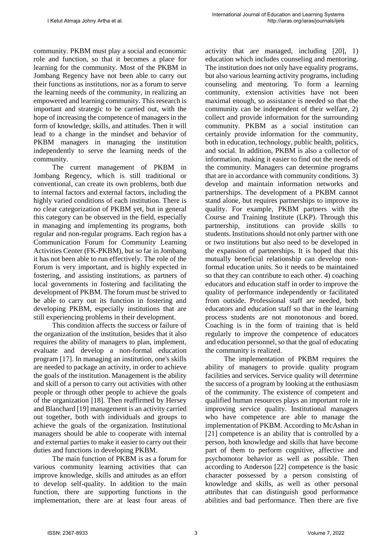community. PKBM must play a social and economic role and function, so that it becomes a place for learning for the community. Most of the PKBM in Jombang Regency have not been able to carry out their functions as institutions, nor as a forum to serve the learning needs of the community, in realizing an empowered and learning community. This research is important and strategic to be carried out, with the hope of increasing the competence of managers in the form of knowledge, skills, and attitudes. Then it will lead to a change in the mindset and behavior of PKBM managers in managing the institution independently to serve the learning needs of the community.

The current management of PKBM in Jombang Regency, which is still traditional or conventional, can create its own problems, both due to internal factors and external factors, including the highly varied conditions of each institution. There is no clear categorization of PKBM yet, but in general this category can be observed in the field, especially in managing and implementing its programs, both regular and non-regular programs. Each region has a Communication Forum for Community Learning Activities Center (FK-PKBM), but so far in Jombang it has not been able to run effectively. The role of the Forum is very important, and is highly expected in fostering, and assisting institutions, as partners of local governments in fostering and facilitating the development of PKBM. The forum must be strived to be able to carry out its function in fostering and developing PKBM, especially institutions that are still experiencing problems in their development.

This condition affects the success or failure of the organization of the institution, besides that it also requires the ability of managers to plan, implement, evaluate and develop a non-formal education program [17]. In managing an institution, one's skills are needed to package an activity, in order to achieve the goals of the institution. Management is the ability and skill of a person to carry out activities with other people or through other people to achieve the goals of the organization [18]. Then reaffirmed by Hersey and Blanchard [19] management is an activity carried out together, both with individuals and groups to achieve the goals of the organization. Institutional managers should be able to cooperate with internal and external parties to make it easier to carry out their duties and functions in developing PKBM.

The main function of PKBM is as a forum for various community learning activities that can improve knowledge, skills and attitudes as an effort to develop self-quality. In addition to the main function, there are supporting functions in the implementation, there are at least four areas of activity that are managed, including [20], 1) education which includes counseling and mentoring. The institution does not only have equality programs, but also various learning activity programs, including counseling and mentoring. To form a learning community, extension activities have not been maximal enough, so assistance is needed so that the community can be independent of their welfare, 2) collect and provide information for the surrounding community. PKBM as a social institution can certainly provide information for the community, both in education, technology, public health, politics, and social. In addition, PKBM is also a collector of information, making it easier to find out the needs of the community. Managers can determine programs that are in accordance with community conditions. 3) develop and maintain information networks and partnerships. The development of a PKBM cannot stand alone, but requires partnerships to improve its quality. For example, PKBM partners with the Course and Training Institute (LKP). Through this partnership, institutions can provide skills to students. Institutions should not only partner with one or two institutions but also need to be developed in the expansion of partnerships. It is hoped that this mutually beneficial relationship can develop nonformal education units. So it needs to be maintained so that they can contribute to each other. 4) coaching educators and education staff in order to improve the quality of performance independently or facilitated from outside. Professional staff are needed, both educators and education staff so that in the learning process students are not monotonous and bored. Coaching is in the form of training that is held regularly to improve the competence of educators and education personnel, so that the goal of educating the community is realized.

The implementation of PKBM requires the ability of managers to provide quality program facilities and services. Service quality will determine the success of a program by looking at the enthusiasm of the community. The existence of competent and qualified human resources plays an important role in improving service quality. Institutional managers who have competence are able to manage the implementation of PKBM. According to McAshan in [21] competence is an ability that is controlled by a person, both knowledge and skills that have become part of them to perform cognitive, affective and psychomotor behavior as well as possible. Then according to Anderson [22] competence is the basic character possessed by a person consisting of knowledge and skills, as well as other personal attributes that can distinguish good performance abilities and bad performance. Then there are five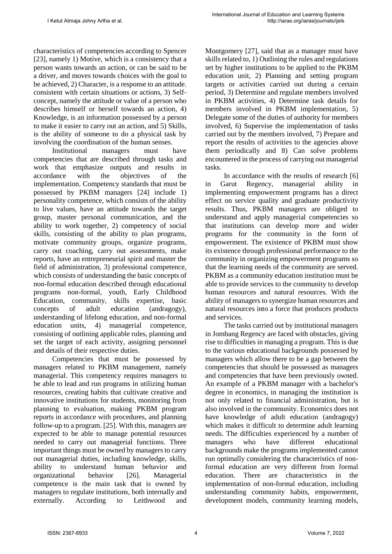characteristics of competencies according to Spencer [23], namely 1) Motive, which is a consistency that a person wants towards an action, or can be said to be a driver, and moves towards choices with the goal to be achieved, 2) Character, is a response to an attitude. consistent with certain situations or actions, 3) Selfconcept, namely the attitude or value of a person who describes himself or herself towards an action, 4) Knowledge, is an information possessed by a person to make it easier to carry out an action, and 5) Skills, is the ability of someone to do a physical task by involving the coordination of the human senses.

Institutional managers must have competencies that are described through tasks and work that emphasize outputs and results in accordance with the objectives of the implementation. Competency standards that must be possessed by PKBM managers [24] include 1) personality competence, which consists of the ability to live values, have an attitude towards the target group, master personal communication, and the ability to work together, 2) competency of social skills, consisting of the ability to plan programs, motivate community groups, organize programs, carry out coaching, carry out assessments, make reports, have an entrepreneurial spirit and master the field of administration, 3) professional competence, which consists of understanding the basic concepts of non-formal education described through educational programs non-formal, youth, Early Childhood Education, community, skills expertise, basic concepts of adult education (andragogy), understanding of lifelong education, and non-formal education units, 4) managerial competence, consisting of outlining applicable rules, planning and set the target of each activity, assigning personnel and details of their respective duties.

Competencies that must be possessed by managers related to PKBM management, namely managerial. This competency requires managers to be able to lead and run programs in utilizing human resources, creating habits that cultivate creative and innovative institutions for students, monitoring from planning to evaluation, making PKBM program reports in accordance with procedures, and planning follow-up to a program. [25]. With this, managers are expected to be able to manage potential resources needed to carry out managerial functions. Three important things must be owned by managers to carry out managerial duties, including knowledge, skills, ability to understand human behavior and organizational behavior [26]. Managerial competence is the main task that is owned by managers to regulate institutions, both internally and externally. According to Leithwood and Montgomery [27], said that as a manager must have skills related to, 1) Outlining the rules and regulations set by higher institutions to be applied to the PKBM education unit, 2) Planning and setting program targets or activities carried out during a certain period, 3) Determine and regulate members involved in PKBM activities, 4) Determine task details for members involved in PKBM implementation, 5) Delegate some of the duties of authority for members involved, 6) Supervise the implementation of tasks carried out by the members involved, 7) Prepare and report the results of activities to the agencies above them periodically and 8) Can solve problems encountered in the process of carrying out managerial tasks.

In accordance with the results of research [6] in Garut Regency, managerial ability in implementing empowerment programs has a direct effect on service quality and graduate productivity results. Thus, PKBM managers are obliged to understand and apply managerial competencies so that institutions can develop more and wider programs for the community in the form of empowerment. The existence of PKBM must show its existence through professional performance to the community in organizing empowerment programs so that the learning needs of the community are served. PKBM as a community education institution must be able to provide services to the community to develop human resources and natural resources. With the ability of managers to synergize human resources and natural resources into a force that produces products and services.

The tasks carried out by institutional managers in Jombang Regency are faced with obstacles, giving rise to difficulties in managing a program. This is due to the various educational backgrounds possessed by managers which allow there to be a gap between the competencies that should be possessed as managers and competencies that have been previously owned. An example of a PKBM manager with a bachelor's degree in economics, in managing the institution is not only related to financial administration, but is also involved in the community. Economics does not have knowledge of adult education (andragogy) which makes it difficult to determine adult learning needs. The difficulties experienced by a number of managers who have different educational backgrounds make the programs implemented cannot run optimally considering the characteristics of nonformal education are very different from formal education. There are characteristics in the implementation of non-formal education, including understanding community habits, empowerment, development models, community learning models,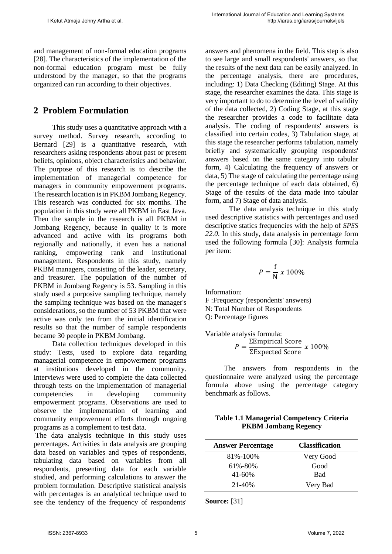and management of non-formal education programs [28]. The characteristics of the implementation of the non-formal education program must be fully understood by the manager, so that the programs organized can run according to their objectives.

# **2 Problem Formulation**

This study uses a quantitative approach with a survey method. Survey research, according to Bernard [29] is a quantitative research, with researchers asking respondents about past or present beliefs, opinions, object characteristics and behavior. The purpose of this research is to describe the implementation of managerial competence for managers in community empowerment programs. The research location is in PKBM Jombang Regency. This research was conducted for six months. The population in this study were all PKBM in East Java. Then the sample in the research is all PKBM in Jombang Regency, because in quality it is more advanced and active with its programs both regionally and nationally, it even has a national ranking, empowering rank and institutional management. Respondents in this study, namely PKBM managers, consisting of the leader, secretary, and treasurer. The population of the number of PKBM in Jombang Regency is 53. Sampling in this study used a purposive sampling technique, namely the sampling technique was based on the manager's considerations, so the number of 53 PKBM that were active was only ten from the initial identification results so that the number of sample respondents became 30 people in PKBM Jombang.

Data collection techniques developed in this study: Tests, used to explore data regarding managerial competence in empowerment programs at institutions developed in the community. Interviews were used to complete the data collected through tests on the implementation of managerial competencies in developing community empowerment programs. Observations are used to observe the implementation of learning and community empowerment efforts through ongoing programs as a complement to test data.

The data analysis technique in this study uses percentages. Activities in data analysis are grouping data based on variables and types of respondents, tabulating data based on variables from all respondents, presenting data for each variable studied, and performing calculations to answer the problem formulation. Descriptive statistical analysis with percentages is an analytical technique used to see the tendency of the frequency of respondents'

answers and phenomena in the field. This step is also to see large and small respondents' answers, so that the results of the next data can be easily analyzed. In the percentage analysis, there are procedures, including: 1) Data Checking (Editing) Stage. At this stage, the researcher examines the data. This stage is very important to do to determine the level of validity of the data collected, 2) Coding Stage, at this stage the researcher provides a code to facilitate data analysis. The coding of respondents' answers is classified into certain codes, 3) Tabulation stage, at this stage the researcher performs tabulation, namely briefly and systematically grouping respondents' answers based on the same category into tabular form, 4) Calculating the frequency of answers or data, 5) The stage of calculating the percentage using the percentage technique of each data obtained, 6) Stage of the results of the data made into tabular form, and 7) Stage of data analysis.

The data analysis technique in this study used descriptive statistics with percentages and used descriptive statics frequencies with the help of *SPSS 22.0*. In this study, data analysis in percentage form used the following formula [30]: Analysis formula per item:

$$
P = \frac{\mathrm{f}}{\mathrm{N}} \times 100\%
$$

Information:

F :Frequency (respondents' answers) N: Total Number of Respondents

Q: Percentage figures

Variable analysis formula:

$$
P = \frac{\Sigma \text{Empirical Score}}{\Sigma \text{Expected Score}} \times 100\%
$$

The answers from respondents in the questionnaire were analyzed using the percentage formula above using the percentage category benchmark as follows.

#### **Table 1.1 Managerial Competency Criteria PKBM Jombang Regency**

| <b>Answer Percentage</b> | <b>Classification</b> |
|--------------------------|-----------------------|
| 81%-100%                 | Very Good             |
| 61%-80%                  | Good                  |
| $41 - 60\%$              | Bad                   |
| 21-40%                   | Very Bad              |

**Source:** [31]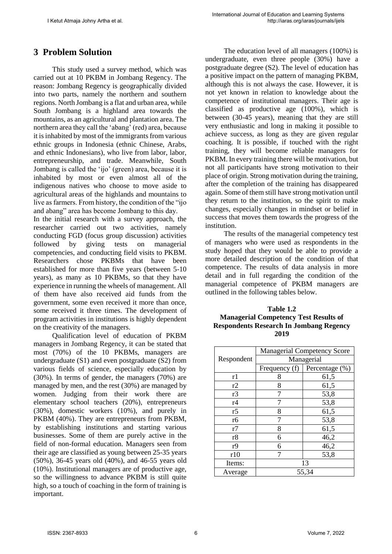# **3 Problem Solution**

This study used a survey method, which was carried out at 10 PKBM in Jombang Regency. The reason: Jombang Regency is geographically divided into two parts, namely the northern and southern regions. North Jombang is a flat and urban area, while South Jombang is a highland area towards the mountains, as an agricultural and plantation area. The northern area they call the 'abang' (red) area, because it is inhabited by most of the immigrants from various ethnic groups in Indonesia (ethnic Chinese, Arabs, and ethnic Indonesians), who live from labor, labor, entrepreneurship, and trade. Meanwhile, South Jombang is called the 'ijo' (green) area, because it is inhabited by most or even almost all of the indigenous natives who choose to move aside to agricultural areas of the highlands and mountains to live as farmers. From history, the condition of the "ijo and abang" area has become Jombang to this day.

In the initial research with a survey approach, the researcher carried out two activities, namely conducting FGD (focus group discussion) activities followed by giving tests on managerial competencies, and conducting field visits to PKBM. Researchers chose PKBMs that have been established for more than five years (between 5-10 years), as many as 10 PKBMs, so that they have experience in running the wheels of management. All of them have also received aid funds from the government, some even received it more than once, some received it three times. The development of program activities in institutions is highly dependent on the creativity of the managers.

Qualification level of education of PKBM managers in Jombang Regency, it can be stated that most (70%) of the 10 PKBMs, managers are undergraduate (S1) and even postgraduate (S2) from various fields of science, especially education by (30%). In terms of gender, the managers (70%) are managed by men, and the rest (30%) are managed by women. Judging from their work there are elementary school teachers (20%), entrepreneurs (30%), domestic workers (10%), and purely in PKBM (40%). They are entrepreneurs from PKBM, by establishing institutions and starting various businesses. Some of them are purely active in the field of non-formal education. Managers seen from their age are classified as young between 25-35 years (50%), 36-45 years old (40%), and 46-55 years old (10%). Institutional managers are of productive age, so the willingness to advance PKBM is still quite high, so a touch of coaching in the form of training is important.

The education level of all managers (100%) is undergraduate, even three people (30%) have a postgraduate degree (S2). The level of education has a positive impact on the pattern of managing PKBM, although this is not always the case. However, it is not yet known in relation to knowledge about the competence of institutional managers. Their age is classified as productive age (100%), which is between (30-45 years), meaning that they are still very enthusiastic and long in making it possible to achieve success, as long as they are given regular coaching. It is possible, if touched with the right training, they will become reliable managers for PKBM. In every training there will be motivation, but not all participants have strong motivation to their place of origin. Strong motivation during the training, after the completion of the training has disappeared again. Some of them still have strong motivation until they return to the institution, so the spirit to make changes, especially changes in mindset or belief in success that moves them towards the progress of the institution.

The results of the managerial competency test of managers who were used as respondents in the study hoped that they would be able to provide a more detailed description of the condition of that competence. The results of data analysis in more detail and in full regarding the condition of the managerial competence of PKBM managers are outlined in the following tables below.

| Table 1.2                                      |  |  |  |  |
|------------------------------------------------|--|--|--|--|
| <b>Managerial Competency Test Results of</b>   |  |  |  |  |
| <b>Respondents Research In Jombang Regency</b> |  |  |  |  |
| 2019                                           |  |  |  |  |

|                | <b>Managerial Competency Score</b> |                |  |  |
|----------------|------------------------------------|----------------|--|--|
| Respondent     | Managerial                         |                |  |  |
|                | Frequency (f)                      | Percentage (%) |  |  |
| r1             | 8                                  | 61,5           |  |  |
| r2             | 8<br>61,5                          |                |  |  |
| r3             | 53,8                               |                |  |  |
| r <sub>4</sub> | 7                                  | 53,8           |  |  |
| r5             | 8                                  | 61,5           |  |  |
| r6             | 7                                  | 53,8           |  |  |
| r7             | 8                                  | 61,5           |  |  |
| r8             | 6                                  | 46,2           |  |  |
| r9             | 6                                  | 46,2           |  |  |
| r10            | 7                                  | 53,8           |  |  |
| Items:         | 13                                 |                |  |  |
| Average        | 55,34                              |                |  |  |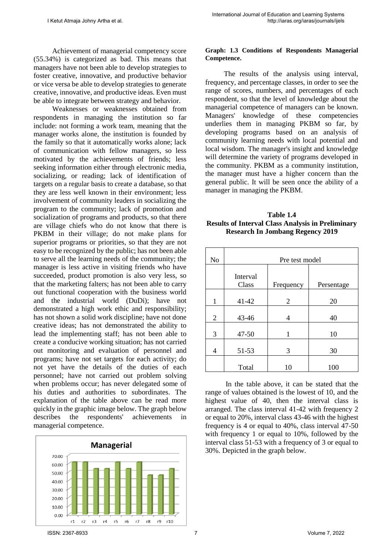Achievement of managerial competency score (55.34%) is categorized as bad. This means that managers have not been able to develop strategies to foster creative, innovative, and productive behavior or vice versa be able to develop strategies to generate creative, innovative, and productive ideas. Even must be able to integrate between strategy and behavior.

Weaknesses or weaknesses obtained from respondents in managing the institution so far include: not forming a work team, meaning that the manager works alone, the institution is founded by the family so that it automatically works alone; lack of communication with fellow managers, so less motivated by the achievements of friends; less seeking information either through electronic media, socializing, or reading; lack of identification of targets on a regular basis to create a database, so that they are less well known in their environment; less involvement of community leaders in socializing the program to the community; lack of promotion and socialization of programs and products, so that there are village chiefs who do not know that there is PKBM in their village; do not make plans for superior programs or priorities, so that they are not easy to be recognized by the public; has not been able to serve all the learning needs of the community; the manager is less active in visiting friends who have succeeded, product promotion is also very less, so that the marketing falters; has not been able to carry out functional cooperation with the business world and the industrial world (DuDi); have not demonstrated a high work ethic and responsibility; has not shown a solid work discipline; have not done creative ideas; has not demonstrated the ability to lead the implementing staff; has not been able to create a conducive working situation; has not carried out monitoring and evaluation of personnel and programs; have not set targets for each activity; do not yet have the details of the duties of each personnel; have not carried out problem solving when problems occur; has never delegated some of his duties and authorities to subordinates. The explanation of the table above can be read more quickly in the graphic image below. The graph below describes the respondents' achievements in managerial competence.



#### **Graph: 1.3 Conditions of Respondents Managerial Competence.**

The results of the analysis using interval, frequency, and percentage classes, in order to see the range of scores, numbers, and percentages of each respondent, so that the level of knowledge about the managerial competence of managers can be known. Managers' knowledge of these competencies underlies them in managing PKBM so far, by developing programs based on an analysis of community learning needs with local potential and local wisdom. The manager's insight and knowledge will determine the variety of programs developed in the community. PKBM as a community institution, the manager must have a higher concern than the general public. It will be seen once the ability of a manager in managing the PKBM.

| Table 1.4                                                |  |  |  |  |
|----------------------------------------------------------|--|--|--|--|
| <b>Results of Interval Class Analysis in Preliminary</b> |  |  |  |  |
| <b>Research In Jombang Regency 2019</b>                  |  |  |  |  |

| N <sub>o</sub> | Pre test model    |           |            |
|----------------|-------------------|-----------|------------|
|                | Interval<br>Class | Frequency | Persentage |
| 1              | 41-42             | 2         | 20         |
| $\overline{2}$ | 43-46             | 4         | 40         |
| 3              | $47 - 50$         | 1         | 10         |
| 4              | 51-53             | 3         | 30         |
|                | Total             | 10        | 100        |

In the table above, it can be stated that the range of values obtained is the lowest of 10, and the highest value of 40, then the interval class is arranged. The class interval 41-42 with frequency 2 or equal to 20%, interval class 43-46 with the highest frequency is 4 or equal to 40%, class interval 47-50 with frequency 1 or equal to 10%, followed by the interval class 51-53 with a frequency of 3 or equal to 30%. Depicted in the graph below.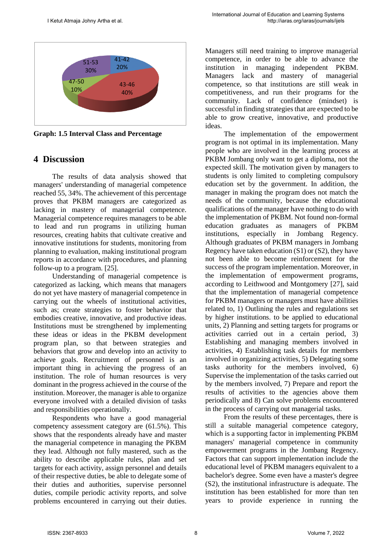

**Graph: 1.5 Interval Class and Percentage** 

### **4 Discussion**

The results of data analysis showed that managers' understanding of managerial competence reached 55, 34%. The achievement of this percentage proves that PKBM managers are categorized as lacking in mastery of managerial competence. Managerial competence requires managers to be able to lead and run programs in utilizing human resources, creating habits that cultivate creative and innovative institutions for students, monitoring from planning to evaluation, making institutional program reports in accordance with procedures, and planning follow-up to a program. [25].

Understanding of managerial competence is categorized as lacking, which means that managers do not yet have mastery of managerial competence in carrying out the wheels of institutional activities, such as; create strategies to foster behavior that embodies creative, innovative, and productive ideas. Institutions must be strengthened by implementing these ideas or ideas in the PKBM development program plan, so that between strategies and behaviors that grow and develop into an activity to achieve goals. Recruitment of personnel is an important thing in achieving the progress of an institution. The role of human resources is very dominant in the progress achieved in the course of the institution. Moreover, the manager is able to organize everyone involved with a detailed division of tasks and responsibilities operationally.

Respondents who have a good managerial competency assessment category are (61.5%). This shows that the respondents already have and master the managerial competence in managing the PKBM they lead. Although not fully mastered, such as the ability to describe applicable rules, plan and set targets for each activity, assign personnel and details of their respective duties, be able to delegate some of their duties and authorities, supervise personnel duties, compile periodic activity reports, and solve problems encountered in carrying out their duties. Managers still need training to improve managerial competence, in order to be able to advance the institution in managing independent PKBM. Managers lack and mastery of managerial competence, so that institutions are still weak in competitiveness, and run their programs for the community. Lack of confidence (mindset) is successful in finding strategies that are expected to be able to grow creative, innovative, and productive ideas.

The implementation of the empowerment program is not optimal in its implementation. Many people who are involved in the learning process at PKBM Jombang only want to get a diploma, not the expected skill. The motivation given by managers to students is only limited to completing compulsory education set by the government. In addition, the manager in making the program does not match the needs of the community, because the educational qualifications of the manager have nothing to do with the implementation of PKBM. Not found non-formal education graduates as managers of PKBM institutions, especially in Jombang Regency. Although graduates of PKBM managers in Jombang Regency have taken education (S1) or (S2), they have not been able to become reinforcement for the success of the program implementation. Moreover, in the implementation of empowerment programs, according to Leithwood and Montgomery [27], said that the implementation of managerial competence for PKBM managers or managers must have abilities related to, 1) Outlining the rules and regulations set by higher institutions. to be applied to educational units, 2) Planning and setting targets for programs or activities carried out in a certain period, 3) Establishing and managing members involved in activities, 4) Establishing task details for members involved in organizing activities, 5) Delegating some tasks authority for the members involved, 6) Supervise the implementation of the tasks carried out by the members involved, 7) Prepare and report the results of activities to the agencies above them periodically and 8) Can solve problems encountered in the process of carrying out managerial tasks.

From the results of these percentages, there is still a suitable managerial competence category, which is a supporting factor in implementing PKBM managers' managerial competence in community empowerment programs in the Jombang Regency. Factors that can support implementation include the educational level of PKBM managers equivalent to a bachelor's degree. Some even have a master's degree (S2), the institutional infrastructure is adequate. The institution has been established for more than ten years to provide experience in running the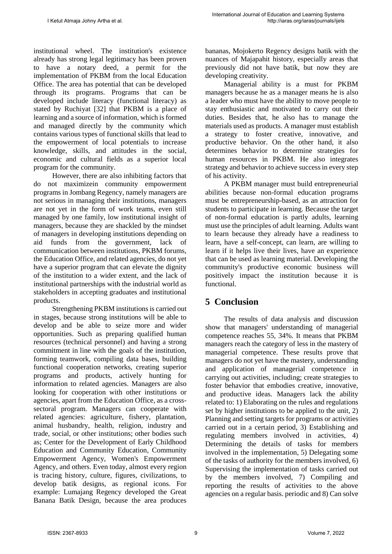institutional wheel. The institution's existence already has strong legal legitimacy has been proven to have a notary deed, a permit for the implementation of PKBM from the local Education Office. The area has potential that can be developed through its programs. Programs that can be developed include literacy (functional literacy) as stated by Ruchiyat [32] that PKBM is a place of learning and a source of information, which is formed and managed directly by the community which contains various types of functional skills that lead to the empowerment of local potentials to increase knowledge, skills, and attitudes in the social, economic and cultural fields as a superior local program for the community.

However, there are also inhibiting factors that do not maximizein community empowerment programs in Jombang Regency, namely managers are not serious in managing their institutions, managers are not yet in the form of work teams, even still managed by one family, low institutional insight of managers, because they are shackled by the mindset of managers in developing institutions depending on aid funds from the government, lack of communication between institutions, PKBM forums, the Education Office, and related agencies, do not yet have a superior program that can elevate the dignity of the institution to a wider extent, and the lack of institutional partnerships with the industrial world as stakeholders in accepting graduates and institutional products.

Strengthening PKBM institutions is carried out in stages, because strong institutions will be able to develop and be able to seize more and wider opportunities. Such as preparing qualified human resources (technical personnel) and having a strong commitment in line with the goals of the institution, forming teamwork, compiling data bases, building functional cooperation networks, creating superior programs and products, actively hunting for information to related agencies. Managers are also looking for cooperation with other institutions or agencies, apart from the Education Office, as a crosssectoral program. Managers can cooperate with related agencies: agriculture, fishery, plantation, animal husbandry, health, religion, industry and trade, social, or other institutions; other bodies such as; Center for the Development of Early Childhood Education and Community Education, Community Empowerment Agency, Women's Empowerment Agency, and others. Even today, almost every region is tracing history, culture, figures, civilizations, to develop batik designs, as regional icons. For example: Lumajang Regency developed the Great Banana Batik Design, because the area produces

bananas, Mojokerto Regency designs batik with the nuances of Majapahit history, especially areas that previously did not have batik, but now they are developing creativity.

Managerial ability is a must for PKBM managers because he as a manager means he is also a leader who must have the ability to move people to stay enthusiastic and motivated to carry out their duties. Besides that, he also has to manage the materials used as products. A manager must establish a strategy to foster creative, innovative, and productive behavior. On the other hand, it also determines behavior to determine strategies for human resources in PKBM. He also integrates strategy and behavior to achieve success in every step of his activity.

A PKBM manager must build entrepreneurial abilities because non-formal education programs must be entrepreneurship-based, as an attraction for students to participate in learning. Because the target of non-formal education is partly adults, learning must use the principles of adult learning. Adults want to learn because they already have a readiness to learn, have a self-concept, can learn, are willing to learn if it helps live their lives, have an experience that can be used as learning material. Developing the community's productive economic business will positively impact the institution because it is functional.

# **5 Conclusion**

The results of data analysis and discussion show that managers' understanding of managerial competence reaches 55, 34%. It means that PKBM managers reach the category of less in the mastery of managerial competence. These results prove that managers do not yet have the mastery, understanding and application of managerial competence in carrying out activities, including; create strategies to foster behavior that embodies creative, innovative, and productive ideas. Managers lack the ability related to: 1) Elaborating on the rules and regulations set by higher institutions to be applied to the unit, 2) Planning and setting targets for programs or activities carried out in a certain period, 3) Establishing and regulating members involved in activities, 4) Determining the details of tasks for members involved in the implementation, 5) Delegating some of the tasks of authority for the members involved, 6) Supervising the implementation of tasks carried out by the members involved, 7) Compiling and reporting the results of activities to the above agencies on a regular basis. periodic and 8) Can solve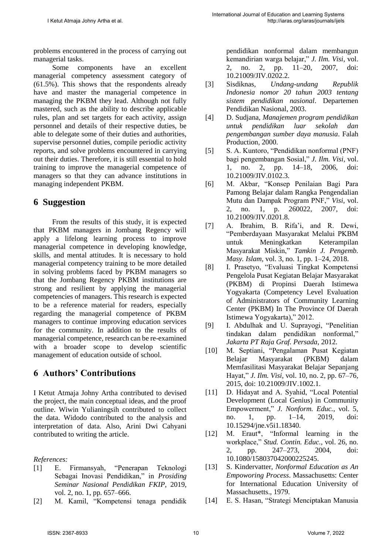problems encountered in the process of carrying out managerial tasks.

Some components have an excellent managerial competency assessment category of (61.5%). This shows that the respondents already have and master the managerial competence in managing the PKBM they lead. Although not fully mastered, such as the ability to describe applicable rules, plan and set targets for each activity, assign personnel and details of their respective duties, be able to delegate some of their duties and authorities, supervise personnel duties, compile periodic activity reports, and solve problems encountered in carrying out their duties. Therefore, it is still essential to hold training to improve the managerial competence of managers so that they can advance institutions in managing independent PKBM.

### **6 Suggestion**

From the results of this study, it is expected that PKBM managers in Jombang Regency will apply a lifelong learning process to improve managerial competence in developing knowledge, skills, and mental attitudes. It is necessary to hold managerial competency training to be more detailed in solving problems faced by PKBM managers so that the Jombang Regency PKBM institutions are strong and resilient by applying the managerial competencies of managers. This research is expected to be a reference material for readers, especially regarding the managerial competence of PKBM managers to continue improving education services for the community. In addition to the results of managerial competence, research can be re-examined with a broader scope to develop scientific management of education outside of school.

# **6 Authors' Contributions**

I Ketut Atmaja Johny Artha contributed to devised the project, the main conceptual ideas, and the proof outline. Wiwin Yulianingsih contributed to collect the data. Widodo contributed to the analysis and interpretation of data. Also, Arini Dwi Cahyani contributed to writing the article.

*References:*

- [1] E. Firmansyah, "Penerapan Teknologi Sebagai Inovasi Pendidikan," in *Prosiding Seminar Nasional Pendidikan FKIP*, 2019, vol. 2, no. 1, pp. 657–666.
- [2] M. Kamil, "Kompetensi tenaga pendidik

pendidikan nonformal dalam membangun kemandirian warga belajar," *J. Ilm. Visi*, vol. 2, no. 2, pp. 11–20, 2007, doi: 10.21009/JIV.0202.2.

- [3] Sisdiknas, *Undang-undang Republik Indonesia nomor 20 tahun 2003 tentang sistem pendidikan nasional*. Departemen Pendidikan Nasional, 2003.
- [4] D. Sudjana, *Manajemen program pendidikan untuk pendidikan luar sekolah dan pengembangan sumber daya manusia*. Falah Production, 2000.
- [5] S. A. Kuntoro, "Pendidikan nonformal (PNF) bagi pengembangan Sosial," *J. Ilm. Visi*, vol. 1, no. 2, pp. 14–18, 2006, doi: 10.21009/JIV.0102.3.
- [6] M. Akbar, "Konsep Penilaian Bagi Para Pamong Belajar dalam Rangka Pengendalian Mutu dan Dampak Program PNF," *Visi*, vol. 2, no. 1, p. 260022, 2007, doi: 10.21009/JIV.0201.8.
- [7] A. Ibrahim, B. Rifa'i, and R. Dewi, "Pemberdayaan Masyarakat Melalui PKBM untuk Meningkatkan Keterampilan Masyarakat Miskin," *Tamkin J. Pengemb. Masy. Islam*, vol. 3, no. 1, pp. 1–24, 2018.
- [8] I. Prasetyo, "Evaluasi Tingkat Kompetensi Pengelola Pusat Kegiatan Belajar Masyarakat (PKBM) di Propinsi Daerah Istimewa Yogyakarta (Competency Level Evaluation of Administrators of Community Learning Center (PKBM) In The Province Of Daerah Istimewa Yogyakarta)," 2012.
- [9] I. Abdulhak and U. Suprayogi, "Penelitian tindakan dalam pendidikan nonformal," *Jakarta PT Raja Graf. Persada*, 2012.
- [10] M. Septiani, "Pengalaman Pusat Kegiatan Belajar Masyarakat (PKBM) dalam Memfasilitasi Masyarakat Belajar Sepanjang Hayat," *J. Ilm. Visi*, vol. 10, no. 2, pp. 67–76, 2015, doi: 10.21009/JIV.1002.1.
- [11] D. Hidayat and A. Syahid, "Local Potential Development (Local Genius) in Community Empowerment," *J. Nonform. Educ.*, vol. 5, no. 1, pp. 1–14, 2019, doi: 10.15294/jne.v5i1.18340.
- [12] M. Eraut\*, "Informal learning in the workplace," *Stud. Contin. Educ.*, vol. 26, no. 2, pp. 247–273, 2004, doi: 10.1080/158037042000225245.
- [13] S. Kindervatter, *Nonformal Education as An Empoworing Process*. Massachusetts: Center for International Education University of Massachusetts., 1979.
- [14] E. S. Hasan, "Strategi Menciptakan Manusia